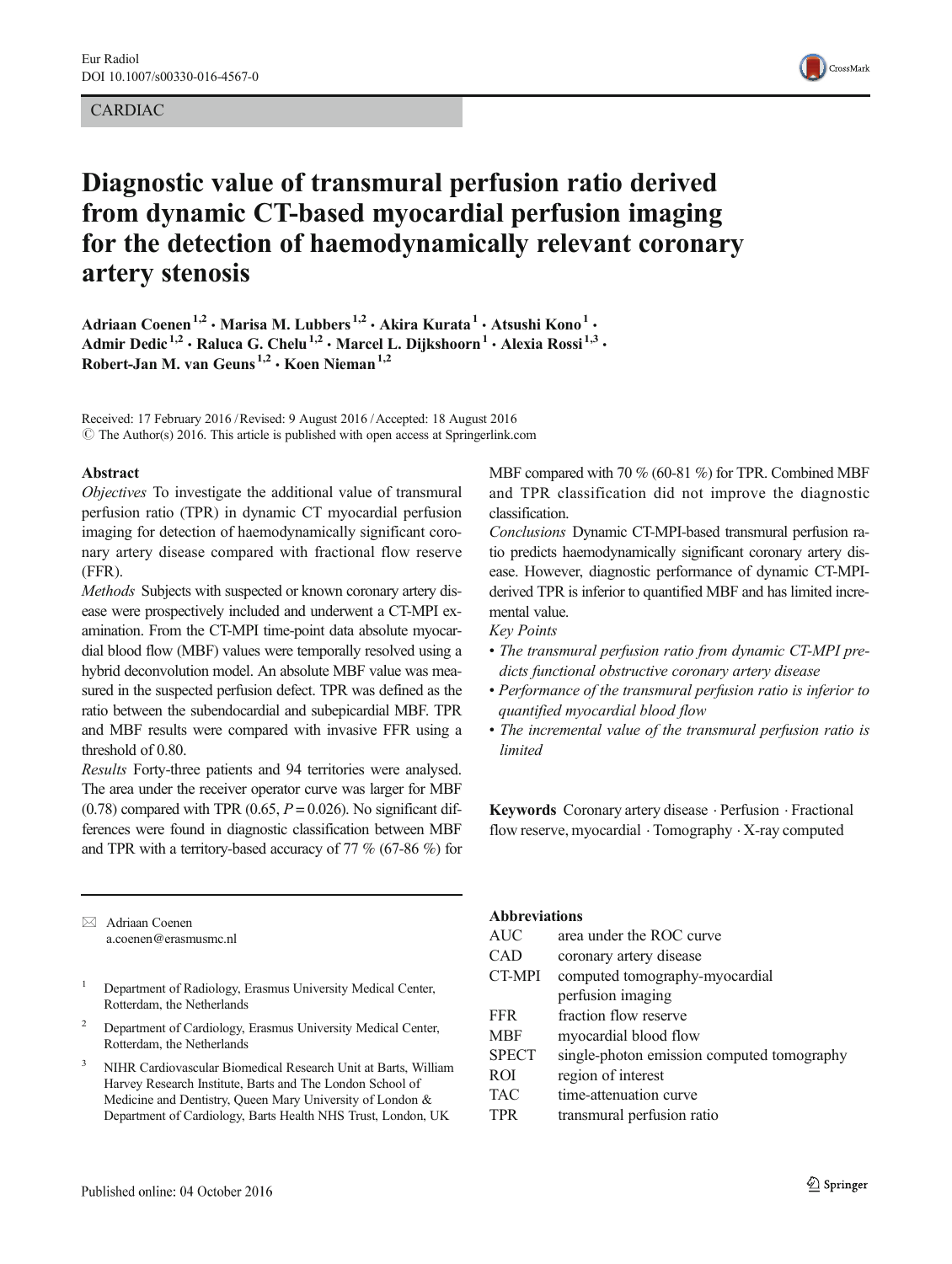# CARDIAC



# Diagnostic value of transmural perfusion ratio derived from dynamic CT-based myocardial perfusion imaging for the detection of haemodynamically relevant coronary artery stenosis

Adriaan Coenen<sup>1,2</sup> • Marisa M. Lubbers<sup>1,2</sup> • Akira Kurata<sup>1</sup> • Atsushi Kono<sup>1</sup> • Admir Dedic<sup>1,2</sup> · Raluca G. Chelu<sup>1,2</sup> · Marcel L. Dijkshoorn<sup>1</sup> · Alexia Rossi<sup>1,3</sup> · Robert-Jan M. van Geuns<sup>1,2</sup>  $\cdot$  Koen Nieman<sup>1,2</sup>

Received: 17 February 2016 /Revised: 9 August 2016 /Accepted: 18 August 2016  $\odot$  The Author(s) 2016. This article is published with open access at Springerlink.com

#### Abstract

Objectives To investigate the additional value of transmural perfusion ratio (TPR) in dynamic CT myocardial perfusion imaging for detection of haemodynamically significant coronary artery disease compared with fractional flow reserve (FFR).

Methods Subjects with suspected or known coronary artery disease were prospectively included and underwent a CT-MPI examination. From the CT-MPI time-point data absolute myocardial blood flow (MBF) values were temporally resolved using a hybrid deconvolution model. An absolute MBF value was measured in the suspected perfusion defect. TPR was defined as the ratio between the subendocardial and subepicardial MBF. TPR and MBF results were compared with invasive FFR using a threshold of 0.80.

Results Forty-three patients and 94 territories were analysed. The area under the receiver operator curve was larger for MBF  $(0.78)$  compared with TPR  $(0.65, P = 0.026)$ . No significant differences were found in diagnostic classification between MBF and TPR with a territory-based accuracy of 77 % (67-86 %) for

 $\boxtimes$  Adriaan Coenen a.coenen@erasmusmc.nl

- <sup>1</sup> Department of Radiology, Erasmus University Medical Center, Rotterdam, the Netherlands
- <sup>2</sup> Department of Cardiology, Erasmus University Medical Center, Rotterdam, the Netherlands
- <sup>3</sup> NIHR Cardiovascular Biomedical Research Unit at Barts, William Harvey Research Institute, Barts and The London School of Medicine and Dentistry, Queen Mary University of London & Department of Cardiology, Barts Health NHS Trust, London, UK

MBF compared with 70 % (60-81 %) for TPR. Combined MBF and TPR classification did not improve the diagnostic classification.

Conclusions Dynamic CT-MPI-based transmural perfusion ratio predicts haemodynamically significant coronary artery disease. However, diagnostic performance of dynamic CT-MPIderived TPR is inferior to quantified MBF and has limited incremental value.

Key Points

- The transmural perfusion ratio from dynamic CT-MPI predicts functional obstructive coronary artery disease
- Performance of the transmural perfusion ratio is inferior to quantified myocardial blood flow
- The incremental value of the transmural perfusion ratio is limited

Keywords Coronary artery disease . Perfusion . Fractional flow reserve, myocardial . Tomography . X-ray computed

# Abbreviations

AUC area under the ROC curve CAD coronary artery disease CT-MPI computed tomography-myocardial perfusion imaging FFR fraction flow reserve MBF myocardial blood flow SPECT single-photon emission computed tomography ROI region of interest TAC time-attenuation curve TPR transmural perfusion ratio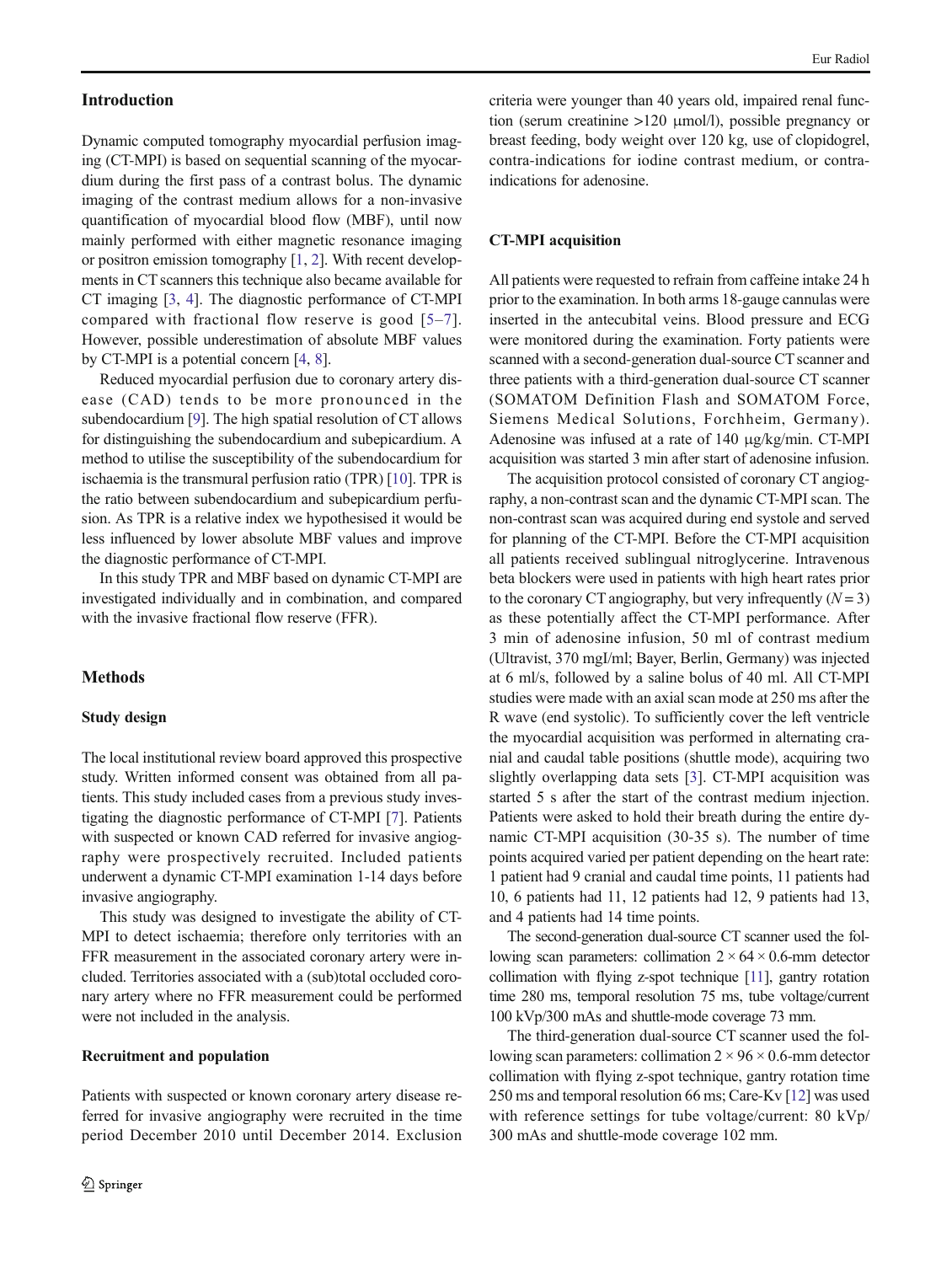## Introduction

Dynamic computed tomography myocardial perfusion imaging (CT-MPI) is based on sequential scanning of the myocardium during the first pass of a contrast bolus. The dynamic imaging of the contrast medium allows for a non-invasive quantification of myocardial blood flow (MBF), until now mainly performed with either magnetic resonance imaging or positron emission tomography [\[1,](#page-6-0) [2\]](#page-6-0). With recent developments in CT scanners this technique also became available for CT imaging [[3](#page-6-0), [4](#page-6-0)]. The diagnostic performance of CT-MPI compared with fractional flow reserve is good [[5](#page-6-0)–[7](#page-6-0)]. However, possible underestimation of absolute MBF values by CT-MPI is a potential concern [\[4,](#page-6-0) [8\]](#page-6-0).

Reduced myocardial perfusion due to coronary artery disease (CAD) tends to be more pronounced in the subendocardium [[9\]](#page-6-0). The high spatial resolution of CT allows for distinguishing the subendocardium and subepicardium. A method to utilise the susceptibility of the subendocardium for ischaemia is the transmural perfusion ratio (TPR) [\[10\]](#page-6-0). TPR is the ratio between subendocardium and subepicardium perfusion. As TPR is a relative index we hypothesised it would be less influenced by lower absolute MBF values and improve the diagnostic performance of CT-MPI.

In this study TPR and MBF based on dynamic CT-MPI are investigated individually and in combination, and compared with the invasive fractional flow reserve (FFR).

## Methods

#### Study design

The local institutional review board approved this prospective study. Written informed consent was obtained from all patients. This study included cases from a previous study investigating the diagnostic performance of CT-MPI [[7\]](#page-6-0). Patients with suspected or known CAD referred for invasive angiography were prospectively recruited. Included patients underwent a dynamic CT-MPI examination 1-14 days before invasive angiography.

This study was designed to investigate the ability of CT-MPI to detect ischaemia; therefore only territories with an FFR measurement in the associated coronary artery were included. Territories associated with a (sub)total occluded coronary artery where no FFR measurement could be performed were not included in the analysis.

#### Recruitment and population

Patients with suspected or known coronary artery disease referred for invasive angiography were recruited in the time period December 2010 until December 2014. Exclusion

criteria were younger than 40 years old, impaired renal function (serum creatinine >120 μmol/l), possible pregnancy or breast feeding, body weight over 120 kg, use of clopidogrel, contra-indications for iodine contrast medium, or contraindications for adenosine.

#### CT-MPI acquisition

All patients were requested to refrain from caffeine intake 24 h prior to the examination. In both arms 18-gauge cannulas were inserted in the antecubital veins. Blood pressure and ECG were monitored during the examination. Forty patients were scanned with a second-generation dual-source CT scanner and three patients with a third-generation dual-source CT scanner (SOMATOM Definition Flash and SOMATOM Force, Siemens Medical Solutions, Forchheim, Germany). Adenosine was infused at a rate of 140 μg/kg/min. CT-MPI acquisition was started 3 min after start of adenosine infusion.

The acquisition protocol consisted of coronary CT angiography, a non-contrast scan and the dynamic CT-MPI scan. The non-contrast scan was acquired during end systole and served for planning of the CT-MPI. Before the CT-MPI acquisition all patients received sublingual nitroglycerine. Intravenous beta blockers were used in patients with high heart rates prior to the coronary CT angiography, but very infrequently  $(N = 3)$ as these potentially affect the CT-MPI performance. After 3 min of adenosine infusion, 50 ml of contrast medium (Ultravist, 370 mgI/ml; Bayer, Berlin, Germany) was injected at 6 ml/s, followed by a saline bolus of 40 ml. All CT-MPI studies were made with an axial scan mode at 250 ms after the R wave (end systolic). To sufficiently cover the left ventricle the myocardial acquisition was performed in alternating cranial and caudal table positions (shuttle mode), acquiring two slightly overlapping data sets [[3\]](#page-6-0). CT-MPI acquisition was started 5 s after the start of the contrast medium injection. Patients were asked to hold their breath during the entire dynamic CT-MPI acquisition (30-35 s). The number of time points acquired varied per patient depending on the heart rate: 1 patient had 9 cranial and caudal time points, 11 patients had 10, 6 patients had 11, 12 patients had 12, 9 patients had 13, and 4 patients had 14 time points.

The second-generation dual-source CT scanner used the following scan parameters: collimation  $2 \times 64 \times 0.6$ -mm detector collimation with flying z-spot technique [\[11](#page-6-0)], gantry rotation time 280 ms, temporal resolution 75 ms, tube voltage/current 100 kVp/300 mAs and shuttle-mode coverage 73 mm.

The third-generation dual-source CT scanner used the following scan parameters: collimation  $2 \times 96 \times 0.6$ -mm detector collimation with flying z-spot technique, gantry rotation time 250 ms and temporal resolution 66 ms; Care-Kv [[12](#page-6-0)] was used with reference settings for tube voltage/current: 80 kVp/ 300 mAs and shuttle-mode coverage 102 mm.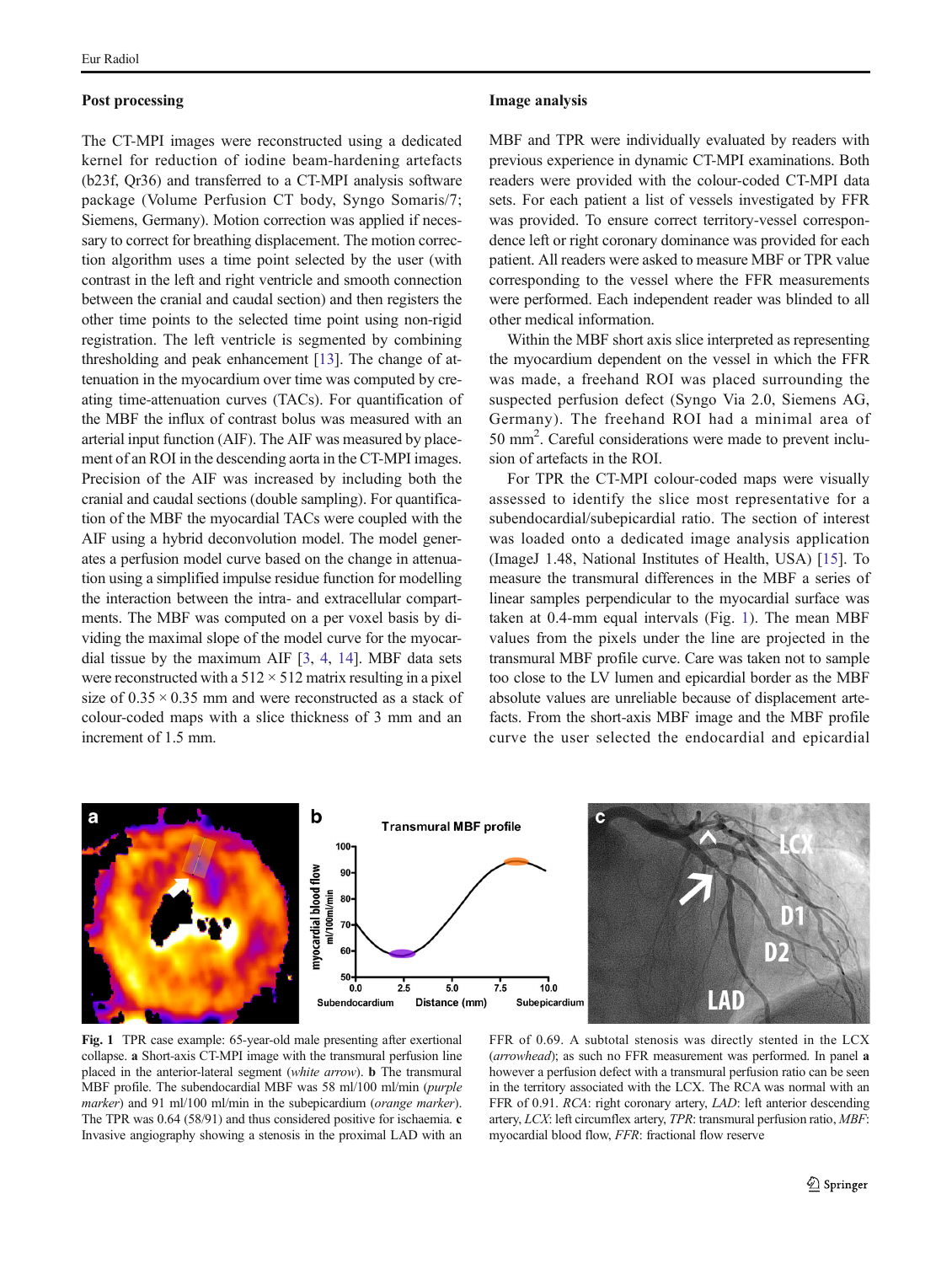#### <span id="page-2-0"></span>Post processing

The CT-MPI images were reconstructed using a dedicated kernel for reduction of iodine beam-hardening artefacts (b23f, Qr36) and transferred to a CT-MPI analysis software package (Volume Perfusion CT body, Syngo Somaris/7; Siemens, Germany). Motion correction was applied if necessary to correct for breathing displacement. The motion correction algorithm uses a time point selected by the user (with contrast in the left and right ventricle and smooth connection between the cranial and caudal section) and then registers the other time points to the selected time point using non-rigid registration. The left ventricle is segmented by combining thresholding and peak enhancement [[13](#page-7-0)]. The change of attenuation in the myocardium over time was computed by creating time-attenuation curves (TACs). For quantification of the MBF the influx of contrast bolus was measured with an arterial input function (AIF). The AIF was measured by placement of an ROI in the descending aorta in the CT-MPI images. Precision of the AIF was increased by including both the cranial and caudal sections (double sampling). For quantification of the MBF the myocardial TACs were coupled with the AIF using a hybrid deconvolution model. The model generates a perfusion model curve based on the change in attenuation using a simplified impulse residue function for modelling the interaction between the intra- and extracellular compartments. The MBF was computed on a per voxel basis by dividing the maximal slope of the model curve for the myocardial tissue by the maximum AIF [\[3](#page-6-0), [4](#page-6-0), [14](#page-7-0)]. MBF data sets were reconstructed with a  $512 \times 512$  matrix resulting in a pixel size of  $0.35 \times 0.35$  mm and were reconstructed as a stack of colour-coded maps with a slice thickness of 3 mm and an increment of 1.5 mm.

### Image analysis

MBF and TPR were individually evaluated by readers with previous experience in dynamic CT-MPI examinations. Both readers were provided with the colour-coded CT-MPI data sets. For each patient a list of vessels investigated by FFR was provided. To ensure correct territory-vessel correspondence left or right coronary dominance was provided for each patient. All readers were asked to measure MBF or TPR value corresponding to the vessel where the FFR measurements were performed. Each independent reader was blinded to all other medical information.

Within the MBF short axis slice interpreted as representing the myocardium dependent on the vessel in which the FFR was made, a freehand ROI was placed surrounding the suspected perfusion defect (Syngo Via 2.0, Siemens AG, Germany). The freehand ROI had a minimal area of 50 mm2 . Careful considerations were made to prevent inclusion of artefacts in the ROI.

For TPR the CT-MPI colour-coded maps were visually assessed to identify the slice most representative for a subendocardial/subepicardial ratio. The section of interest was loaded onto a dedicated image analysis application (ImageJ 1.48, National Institutes of Health, USA) [[15\]](#page-7-0). To measure the transmural differences in the MBF a series of linear samples perpendicular to the myocardial surface was taken at 0.4-mm equal intervals (Fig. 1). The mean MBF values from the pixels under the line are projected in the transmural MBF profile curve. Care was taken not to sample too close to the LV lumen and epicardial border as the MBF absolute values are unreliable because of displacement artefacts. From the short-axis MBF image and the MBF profile curve the user selected the endocardial and epicardial



Fig. 1 TPR case example: 65-year-old male presenting after exertional collapse. a Short-axis CT-MPI image with the transmural perfusion line placed in the anterior-lateral segment (white arrow). **b** The transmural MBF profile. The subendocardial MBF was 58 ml/100 ml/min (purple marker) and 91 ml/100 ml/min in the subepicardium (*orange marker*). The TPR was 0.64 (58/91) and thus considered positive for ischaemia. c Invasive angiography showing a stenosis in the proximal LAD with an

FFR of 0.69. A subtotal stenosis was directly stented in the LCX (arrowhead); as such no FFR measurement was performed. In panel a however a perfusion defect with a transmural perfusion ratio can be seen in the territory associated with the LCX. The RCA was normal with an FFR of 0.91. RCA: right coronary artery, LAD: left anterior descending artery, LCX: left circumflex artery, TPR: transmural perfusion ratio, MBF: myocardial blood flow, FFR: fractional flow reserve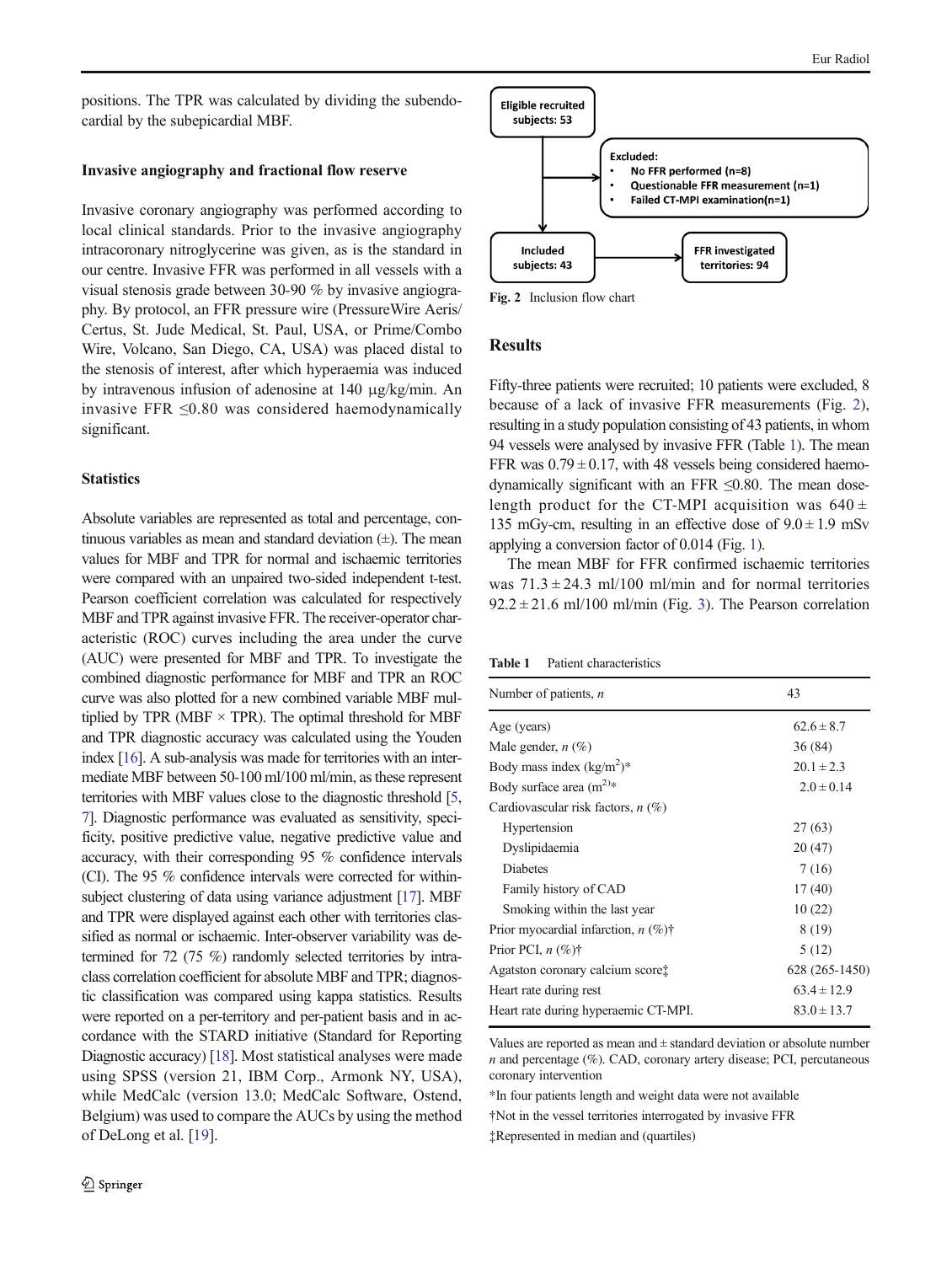positions. The TPR was calculated by dividing the subendocardial by the subepicardial MBF.

#### Invasive angiography and fractional flow reserve

Invasive coronary angiography was performed according to local clinical standards. Prior to the invasive angiography intracoronary nitroglycerine was given, as is the standard in our centre. Invasive FFR was performed in all vessels with a visual stenosis grade between 30-90 % by invasive angiography. By protocol, an FFR pressure wire (PressureWire Aeris/ Certus, St. Jude Medical, St. Paul, USA, or Prime/Combo Wire, Volcano, San Diego, CA, USA) was placed distal to the stenosis of interest, after which hyperaemia was induced by intravenous infusion of adenosine at 140 μg/kg/min. An invasive FFR ≤0.80 was considered haemodynamically significant.

#### **Statistics**

Absolute variables are represented as total and percentage, continuous variables as mean and standard deviation  $(\pm)$ . The mean values for MBF and TPR for normal and ischaemic territories were compared with an unpaired two-sided independent t-test. Pearson coefficient correlation was calculated for respectively MBF and TPR against invasive FFR. The receiver-operator characteristic (ROC) curves including the area under the curve (AUC) were presented for MBF and TPR. To investigate the combined diagnostic performance for MBF and TPR an ROC curve was also plotted for a new combined variable MBF multiplied by TPR (MBF  $\times$  TPR). The optimal threshold for MBF and TPR diagnostic accuracy was calculated using the Youden index [\[16](#page-7-0)]. A sub-analysis was made for territories with an intermediate MBF between 50-100 ml/100 ml/min, as these represent territories with MBF values close to the diagnostic threshold [\[5,](#page-6-0) [7\]](#page-6-0). Diagnostic performance was evaluated as sensitivity, specificity, positive predictive value, negative predictive value and accuracy, with their corresponding 95 % confidence intervals (CI). The 95 % confidence intervals were corrected for within-subject clustering of data using variance adjustment [\[17\]](#page-7-0). MBF and TPR were displayed against each other with territories classified as normal or ischaemic. Inter-observer variability was determined for 72 (75 %) randomly selected territories by intraclass correlation coefficient for absolute MBF and TPR; diagnostic classification was compared using kappa statistics. Results were reported on a per-territory and per-patient basis and in accordance with the STARD initiative (Standard for Reporting Diagnostic accuracy) [\[18\]](#page-7-0). Most statistical analyses were made using SPSS (version 21, IBM Corp., Armonk NY, USA), while MedCalc (version 13.0; MedCalc Software, Ostend, Belgium) was used to compare the AUCs by using the method of DeLong et al. [\[19\]](#page-7-0).



Fig. 2 Inclusion flow chart

## Results

Fifty-three patients were recruited; 10 patients were excluded, 8 because of a lack of invasive FFR measurements (Fig. 2), resulting in a study population consisting of 43 patients, in whom 94 vessels were analysed by invasive FFR (Table 1). The mean FFR was  $0.79 \pm 0.17$ , with 48 vessels being considered haemodynamically significant with an FFR  $\leq 0.80$ . The mean doselength product for the CT-MPI acquisition was  $640 \pm$ 135 mGy-cm, resulting in an effective dose of  $9.0 \pm 1.9$  mSv applying a conversion factor of 0.014 (Fig. [1\)](#page-2-0).

The mean MBF for FFR confirmed ischaemic territories was  $71.3 \pm 24.3$  ml/100 ml/min and for normal territories  $92.2 \pm 21.6$  ml/100 ml/min (Fig. [3](#page-4-0)). The Pearson correlation

Table 1 Patient characteristics

| Number of patients, $n$                      | 43              |
|----------------------------------------------|-----------------|
| Age (years)                                  | $62.6 \pm 8.7$  |
| Male gender, $n(\%)$                         | 36(84)          |
| Body mass index $(kg/m^2)^*$                 | $20.1 \pm 2.3$  |
| Body surface area $(m^{2})$ *                | $2.0 \pm 0.14$  |
| Cardiovascular risk factors, $n$ (%)         |                 |
| Hypertension                                 | 27(63)          |
| Dyslipidaemia                                | 20(47)          |
| <b>Diabetes</b>                              | 7(16)           |
| Family history of CAD                        | 17(40)          |
| Smoking within the last year                 | 10(22)          |
| Prior myocardial infarction, $n$ (%)†        | 8 (19)          |
| Prior PCI, $n$ (%)†                          | 5(12)           |
| Agatston coronary calcium score <sup>†</sup> | 628 (265-1450)  |
| Heart rate during rest                       | $63.4 \pm 12.9$ |
| Heart rate during hyperaemic CT-MPI.         | $83.0 \pm 13.7$ |

Values are reported as mean and  $\pm$  standard deviation or absolute number n and percentage (%). CAD, coronary artery disease; PCI, percutaneous coronary intervention

\*In four patients length and weight data were not available

†Not in the vessel territories interrogated by invasive FFR

‡Represented in median and (quartiles)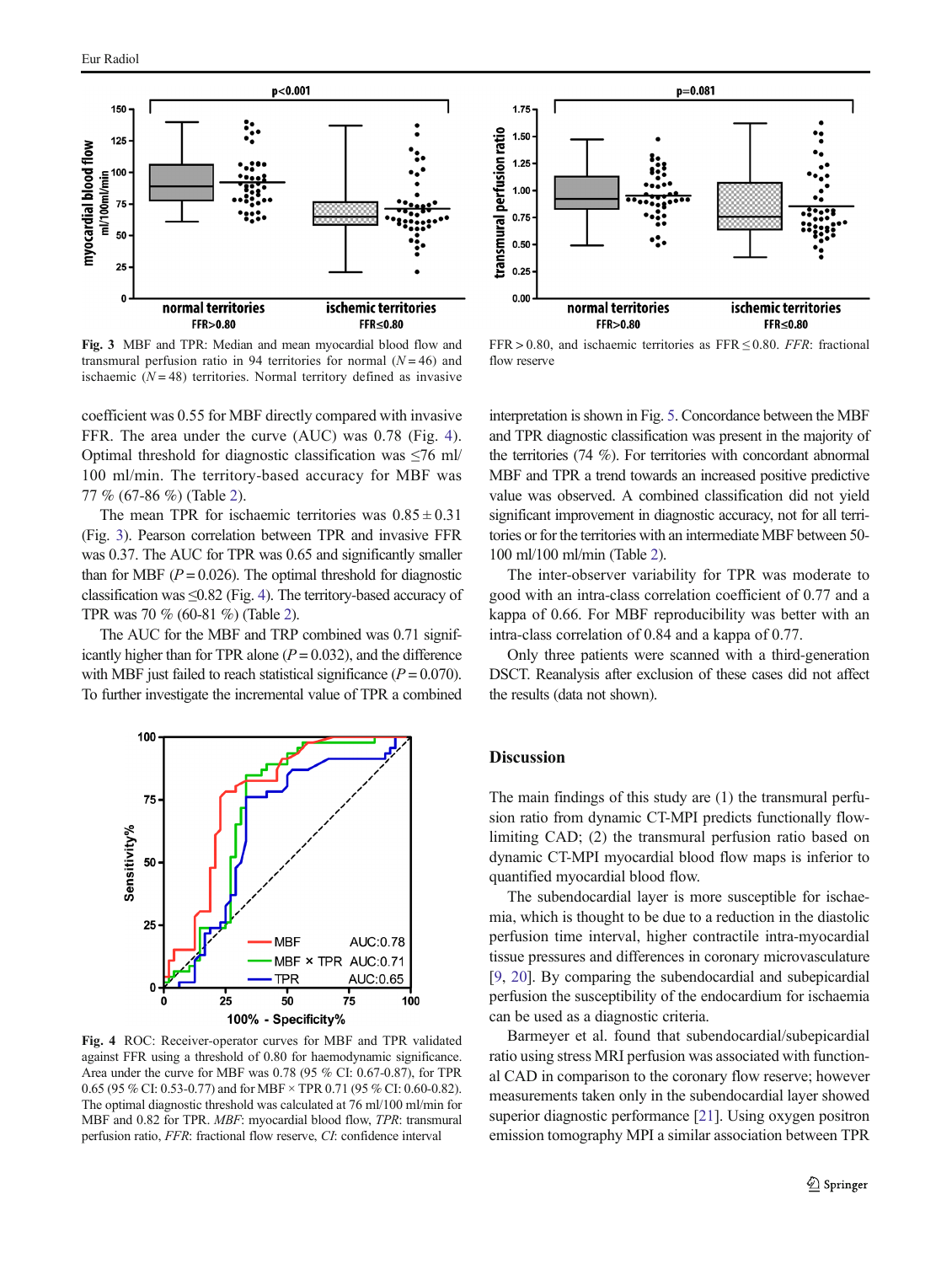<span id="page-4-0"></span>

Fig. 3 MBF and TPR: Median and mean myocardial blood flow and transmural perfusion ratio in 94 territories for normal  $(N = 46)$  and ischaemic  $(N = 48)$  territories. Normal territory defined as invasive

coefficient was 0.55 for MBF directly compared with invasive FFR. The area under the curve (AUC) was 0.78 (Fig. 4). Optimal threshold for diagnostic classification was  $\leq 76$  ml/ 100 ml/min. The territory-based accuracy for MBF was 77 % (67-86 %) (Table [2\)](#page-5-0).

The mean TPR for ischaemic territories was  $0.85 \pm 0.31$ (Fig. 3). Pearson correlation between TPR and invasive FFR was 0.37. The AUC for TPR was 0.65 and significantly smaller than for MBF ( $P = 0.026$ ). The optimal threshold for diagnostic classification was  $\leq$ 0.82 (Fig. 4). The territory-based accuracy of TPR was 70 % (60-81 %) (Table [2](#page-5-0)).

The AUC for the MBF and TRP combined was 0.71 significantly higher than for TPR alone  $(P = 0.032)$ , and the difference with MBF just failed to reach statistical significance  $(P = 0.070)$ . To further investigate the incremental value of TPR a combined



Fig. 4 ROC: Receiver-operator curves for MBF and TPR validated against FFR using a threshold of 0.80 for haemodynamic significance. Area under the curve for MBF was 0.78 (95 % CI: 0.67-0.87), for TPR 0.65 (95 % CI: 0.53-0.77) and for MBF × TPR 0.71 (95 % CI: 0.60-0.82). The optimal diagnostic threshold was calculated at 76 ml/100 ml/min for MBF and 0.82 for TPR. MBF: myocardial blood flow, TPR: transmural perfusion ratio, FFR: fractional flow reserve, CI: confidence interval



 $FFR > 0.80$ , and ischaemic territories as  $FFR < 0.80$ . FFR: fractional flow reserve

interpretation is shown in Fig. [5](#page-5-0). Concordance between the MBF and TPR diagnostic classification was present in the majority of the territories (74 %). For territories with concordant abnormal MBF and TPR a trend towards an increased positive predictive value was observed. A combined classification did not yield significant improvement in diagnostic accuracy, not for all territories or for the territories with an intermediate MBF between 50- 100 ml/100 ml/min (Table [2\)](#page-5-0).

The inter-observer variability for TPR was moderate to good with an intra-class correlation coefficient of 0.77 and a kappa of 0.66. For MBF reproducibility was better with an intra-class correlation of 0.84 and a kappa of 0.77.

Only three patients were scanned with a third-generation DSCT. Reanalysis after exclusion of these cases did not affect the results (data not shown).

## Discussion

The main findings of this study are (1) the transmural perfusion ratio from dynamic CT-MPI predicts functionally flowlimiting CAD; (2) the transmural perfusion ratio based on dynamic CT-MPI myocardial blood flow maps is inferior to quantified myocardial blood flow.

The subendocardial layer is more susceptible for ischaemia, which is thought to be due to a reduction in the diastolic perfusion time interval, higher contractile intra-myocardial tissue pressures and differences in coronary microvasculature [\[9](#page-6-0), [20\]](#page-7-0). By comparing the subendocardial and subepicardial perfusion the susceptibility of the endocardium for ischaemia can be used as a diagnostic criteria.

Barmeyer et al. found that subendocardial/subepicardial ratio using stress MRI perfusion was associated with functional CAD in comparison to the coronary flow reserve; however measurements taken only in the subendocardial layer showed superior diagnostic performance [\[21](#page-7-0)]. Using oxygen positron emission tomography MPI a similar association between TPR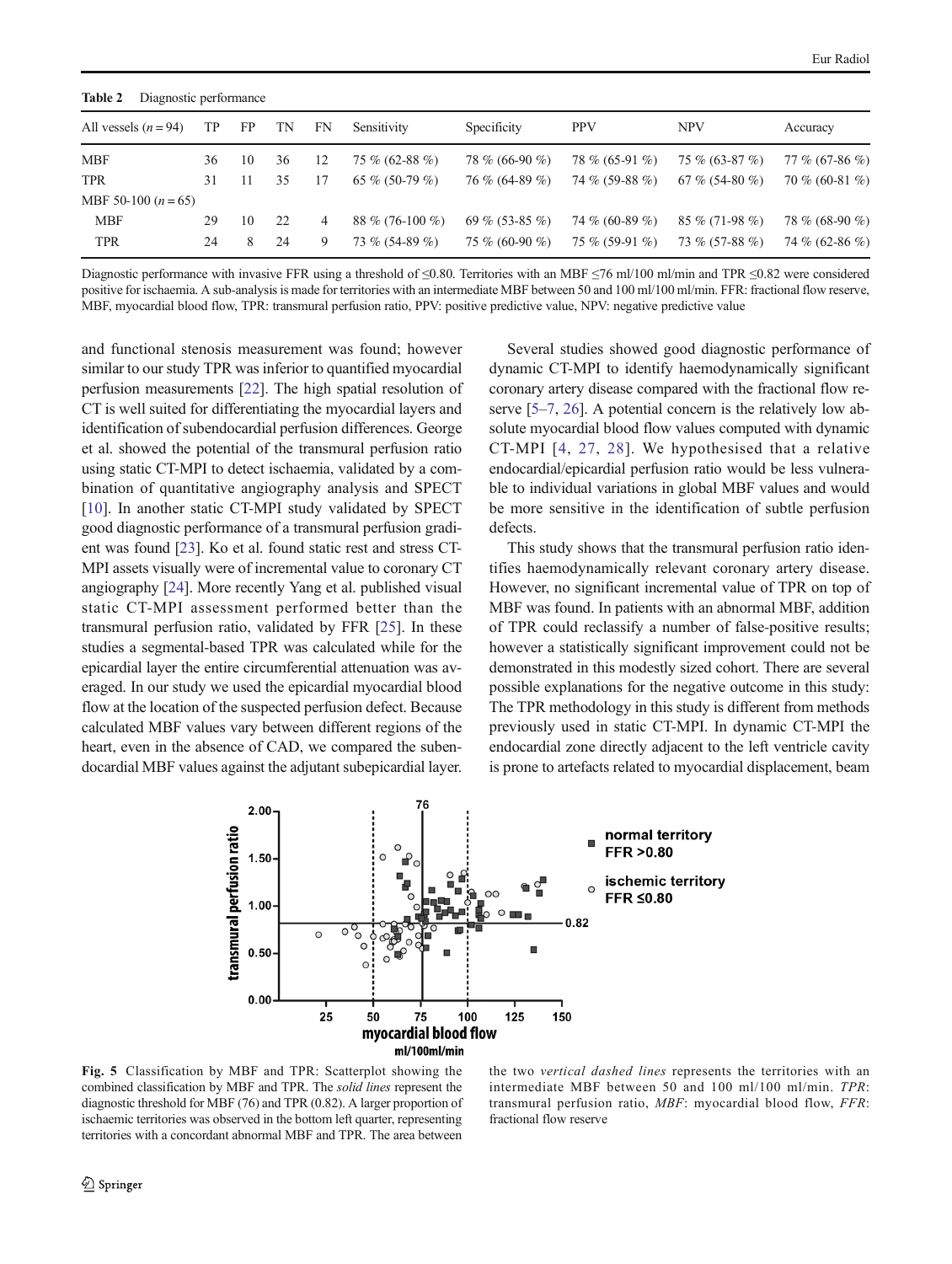<span id="page-5-0"></span>

| Table 2<br>Diagnostic performance |    |    |    |    |                   |                  |                  |                  |                |  |
|-----------------------------------|----|----|----|----|-------------------|------------------|------------------|------------------|----------------|--|
| All vessels $(n = 94)$            | TР | FP | TN | FN | Sensitivity       | Specificity      | <b>PPV</b>       | <b>NPV</b>       | Accuracy       |  |
| <b>MBF</b>                        | 36 | 10 | 36 | 12 | $75\%$ (62-88 %)  | 78 % (66-90 %)   | 78 % (65-91 %)   | $75\%$ (63-87 %) | 77 % (67-86 %) |  |
| <b>TPR</b>                        | 31 |    | 35 |    | 65 % (50-79 %)    | $76\%$ (64-89 %) | 74 % (59-88 %)   | 67 % (54-80 %)   | 70 % (60-81 %) |  |
| MBF 50-100 $(n = 65)$             |    |    |    |    |                   |                  |                  |                  |                |  |
| <b>MBF</b>                        | 29 | 10 | 22 | 4  | $88\%$ (76-100 %) | 69 % (53-85 %)   | 74 % (60-89 %)   | $85\%$ (71-98 %) | 78 % (68-90 %) |  |
| <b>TPR</b>                        | 24 | 8  | 24 | 9  | $73\%$ (54-89 %)  | 75 % (60-90 %)   | $75\%$ (59-91 %) | $73\%$ (57-88 %) | 74 % (62-86 %) |  |

Diagnostic performance with invasive FFR using a threshold of ≤0.80. Territories with an MBF ≤76 ml/100 ml/min and TPR ≤0.82 were considered positive for ischaemia. A sub-analysis is made for territories with an intermediate MBF between 50 and 100 ml/100 ml/min. FFR: fractional flow reserve, MBF, myocardial blood flow, TPR: transmural perfusion ratio, PPV: positive predictive value, NPV: negative predictive value

and functional stenosis measurement was found; however similar to our study TPR was inferior to quantified myocardial perfusion measurements [[22](#page-7-0)]. The high spatial resolution of CT is well suited for differentiating the myocardial layers and identification of subendocardial perfusion differences. George et al. showed the potential of the transmural perfusion ratio using static CT-MPI to detect ischaemia, validated by a combination of quantitative angiography analysis and SPECT [\[10](#page-6-0)]. In another static CT-MPI study validated by SPECT good diagnostic performance of a transmural perfusion gradient was found [[23](#page-7-0)]. Ko et al. found static rest and stress CT-MPI assets visually were of incremental value to coronary CT angiography [\[24](#page-7-0)]. More recently Yang et al. published visual static CT-MPI assessment performed better than the transmural perfusion ratio, validated by FFR [\[25\]](#page-7-0). In these studies a segmental-based TPR was calculated while for the epicardial layer the entire circumferential attenuation was averaged. In our study we used the epicardial myocardial blood flow at the location of the suspected perfusion defect. Because calculated MBF values vary between different regions of the heart, even in the absence of CAD, we compared the subendocardial MBF values against the adjutant subepicardial layer.

Several studies showed good diagnostic performance of dynamic CT-MPI to identify haemodynamically significant coronary artery disease compared with the fractional flow reserve [[5](#page-6-0)–[7](#page-6-0), [26](#page-7-0)]. A potential concern is the relatively low absolute myocardial blood flow values computed with dynamic CT-MPI [[4,](#page-6-0) [27](#page-7-0), [28](#page-7-0)]. We hypothesised that a relative endocardial/epicardial perfusion ratio would be less vulnerable to individual variations in global MBF values and would be more sensitive in the identification of subtle perfusion defects.

This study shows that the transmural perfusion ratio identifies haemodynamically relevant coronary artery disease. However, no significant incremental value of TPR on top of MBF was found. In patients with an abnormal MBF, addition of TPR could reclassify a number of false-positive results; however a statistically significant improvement could not be demonstrated in this modestly sized cohort. There are several possible explanations for the negative outcome in this study: The TPR methodology in this study is different from methods previously used in static CT-MPI. In dynamic CT-MPI the endocardial zone directly adjacent to the left ventricle cavity is prone to artefacts related to myocardial displacement, beam



Fig. 5 Classification by MBF and TPR: Scatterplot showing the combined classification by MBF and TPR. The solid lines represent the diagnostic threshold for MBF (76) and TPR (0.82). A larger proportion of ischaemic territories was observed in the bottom left quarter, representing territories with a concordant abnormal MBF and TPR. The area between

the two vertical dashed lines represents the territories with an intermediate MBF between 50 and 100 ml/100 ml/min. TPR: transmural perfusion ratio, MBF: myocardial blood flow, FFR: fractional flow reserve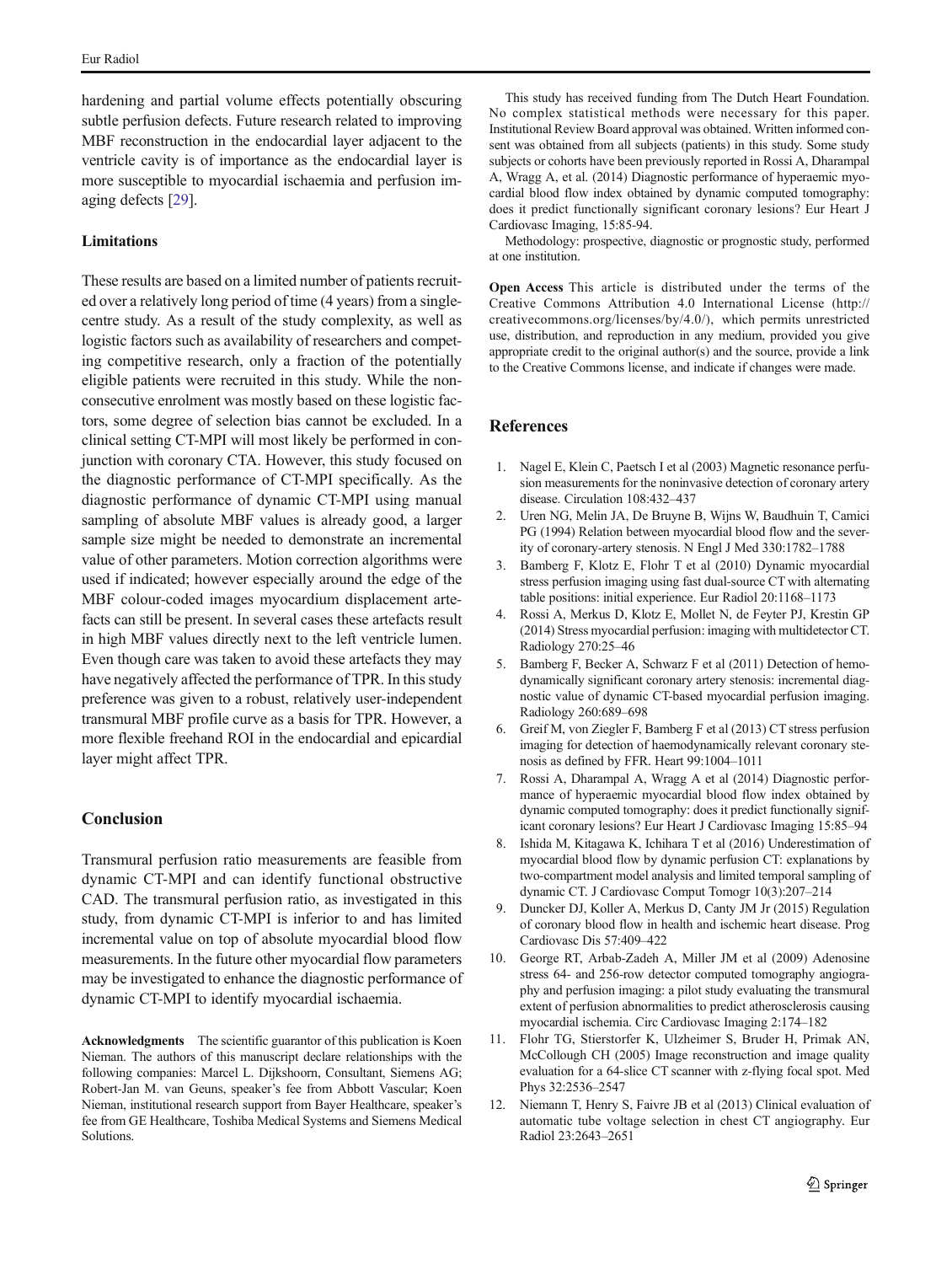<span id="page-6-0"></span>hardening and partial volume effects potentially obscuring subtle perfusion defects. Future research related to improving MBF reconstruction in the endocardial layer adjacent to the ventricle cavity is of importance as the endocardial layer is more susceptible to myocardial ischaemia and perfusion imaging defects [\[29](#page-7-0)].

# **Limitations**

These results are based on a limited number of patients recruited over a relatively long period of time (4 years) from a singlecentre study. As a result of the study complexity, as well as logistic factors such as availability of researchers and competing competitive research, only a fraction of the potentially eligible patients were recruited in this study. While the nonconsecutive enrolment was mostly based on these logistic factors, some degree of selection bias cannot be excluded. In a clinical setting CT-MPI will most likely be performed in conjunction with coronary CTA. However, this study focused on the diagnostic performance of CT-MPI specifically. As the diagnostic performance of dynamic CT-MPI using manual sampling of absolute MBF values is already good, a larger sample size might be needed to demonstrate an incremental value of other parameters. Motion correction algorithms were used if indicated; however especially around the edge of the MBF colour-coded images myocardium displacement artefacts can still be present. In several cases these artefacts result in high MBF values directly next to the left ventricle lumen. Even though care was taken to avoid these artefacts they may have negatively affected the performance of TPR. In this study preference was given to a robust, relatively user-independent transmural MBF profile curve as a basis for TPR. However, a more flexible freehand ROI in the endocardial and epicardial layer might affect TPR.

# Conclusion

Transmural perfusion ratio measurements are feasible from dynamic CT-MPI and can identify functional obstructive CAD. The transmural perfusion ratio, as investigated in this study, from dynamic CT-MPI is inferior to and has limited incremental value on top of absolute myocardial blood flow measurements. In the future other myocardial flow parameters may be investigated to enhance the diagnostic performance of dynamic CT-MPI to identify myocardial ischaemia.

Acknowledgments The scientific guarantor of this publication is Koen Nieman. The authors of this manuscript declare relationships with the following companies: Marcel L. Dijkshoorn, Consultant, Siemens AG; Robert-Jan M. van Geuns, speaker's fee from Abbott Vascular; Koen Nieman, institutional research support from Bayer Healthcare, speaker's fee from GE Healthcare, Toshiba Medical Systems and Siemens Medical Solutions.

This study has received funding from The Dutch Heart Foundation. No complex statistical methods were necessary for this paper. Institutional Review Board approval was obtained. Written informed consent was obtained from all subjects (patients) in this study. Some study subjects or cohorts have been previously reported in Rossi A, Dharampal A, Wragg A, et al. (2014) Diagnostic performance of hyperaemic myocardial blood flow index obtained by dynamic computed tomography: does it predict functionally significant coronary lesions? Eur Heart J Cardiovasc Imaging, 15:85-94.

Methodology: prospective, diagnostic or prognostic study, performed at one institution.

Open Access This article is distributed under the terms of the Creative Commons Attribution 4.0 International License (http:// creativecommons.org/licenses/by/4.0/), which permits unrestricted use, distribution, and reproduction in any medium, provided you give appropriate credit to the original author(s) and the source, provide a link to the Creative Commons license, and indicate if changes were made.

# References

- 1. Nagel E, Klein C, Paetsch I et al (2003) Magnetic resonance perfusion measurements for the noninvasive detection of coronary artery disease. Circulation 108:432–437
- 2. Uren NG, Melin JA, De Bruyne B, Wijns W, Baudhuin T, Camici PG (1994) Relation between myocardial blood flow and the severity of coronary-artery stenosis. N Engl J Med 330:1782–1788
- 3. Bamberg F, Klotz E, Flohr T et al (2010) Dynamic myocardial stress perfusion imaging using fast dual-source CT with alternating table positions: initial experience. Eur Radiol 20:1168–1173
- 4. Rossi A, Merkus D, Klotz E, Mollet N, de Feyter PJ, Krestin GP (2014) Stress myocardial perfusion: imaging with multidetector CT. Radiology 270:25–46
- 5. Bamberg F, Becker A, Schwarz F et al (2011) Detection of hemodynamically significant coronary artery stenosis: incremental diagnostic value of dynamic CT-based myocardial perfusion imaging. Radiology 260:689–698
- 6. Greif M, von Ziegler F, Bamberg F et al (2013) CT stress perfusion imaging for detection of haemodynamically relevant coronary stenosis as defined by FFR. Heart 99:1004–1011
- 7. Rossi A, Dharampal A, Wragg A et al (2014) Diagnostic performance of hyperaemic myocardial blood flow index obtained by dynamic computed tomography: does it predict functionally significant coronary lesions? Eur Heart J Cardiovasc Imaging 15:85–94
- 8. Ishida M, Kitagawa K, Ichihara T et al (2016) Underestimation of myocardial blood flow by dynamic perfusion CT: explanations by two-compartment model analysis and limited temporal sampling of dynamic CT. J Cardiovasc Comput Tomogr 10(3):207–214
- 9. Duncker DJ, Koller A, Merkus D, Canty JM Jr (2015) Regulation of coronary blood flow in health and ischemic heart disease. Prog Cardiovasc Dis 57:409–422
- 10. George RT, Arbab-Zadeh A, Miller JM et al (2009) Adenosine stress 64- and 256-row detector computed tomography angiography and perfusion imaging: a pilot study evaluating the transmural extent of perfusion abnormalities to predict atherosclerosis causing myocardial ischemia. Circ Cardiovasc Imaging 2:174–182
- 11. Flohr TG, Stierstorfer K, Ulzheimer S, Bruder H, Primak AN, McCollough CH (2005) Image reconstruction and image quality evaluation for a 64-slice CT scanner with z-flying focal spot. Med Phys 32:2536–2547
- 12. Niemann T, Henry S, Faivre JB et al (2013) Clinical evaluation of automatic tube voltage selection in chest CT angiography. Eur Radiol 23:2643–2651